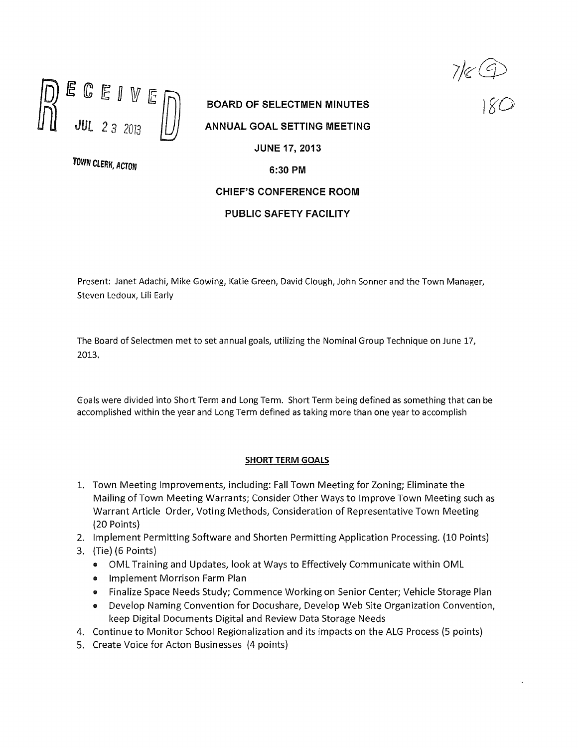

BOARD OF SELECTMEN MINUTES ANNUAL GOAL SETTING MEETING JUNE 17, 2013 TOWN CLERK, ACTON 6:30 PM CHIEF'S CONFERENCE ROOM

7/84

## PUBLIC SAFETY FACILITY

Present: Janet Adachi, Mike Gowing, Katie Green, David Clough, John Sonner and the Town Manager, Steven Ledoux, Liii Early

The Board of Selectmen met to set annual goals, utilizing the Nominal Group Technique on June 17, 2013,

Goals were divided into Short Term and Long Term. Short Term being defined as something that can be accomplished within the year and Long Term defined as taking more than one year to accomplish

## SHORT TERM GOALS

- 1. Town Meeting Improvements, including: Fall Town Meeting for Zoning; Eliminate the Mailing of Town Meeting Warrants; Consider Other Ways to Improve Town Meeting such as Warrant Article Order, Voting Methods, Consideration of Representative Town Meeting (20 Points)
- 2. Implement Permitting Software and Shorten Permitting Application Processing. (10 Points)
- 3. (Tie) (6 Points)
	- <sup>o</sup> OML Training and Updates, look at Ways to Effectively Communicate within CML
	- <sup>o</sup> Implement Morrison Farm Plan
	- <sup>o</sup> Finalize Space Needs Study; Commence Working on Senior Center; Vehicle Storage Plan
	- Develop Naming Convention for Docushare, Develop Web Site Organization Convention, keep Digital Documents Digital and Review Data Storage Needs
- 4. Continue to Monitor School Regionalization and its impacts on the ALG Process (5 points)
- 5. Create Voice for Acton Businesses (4 points)